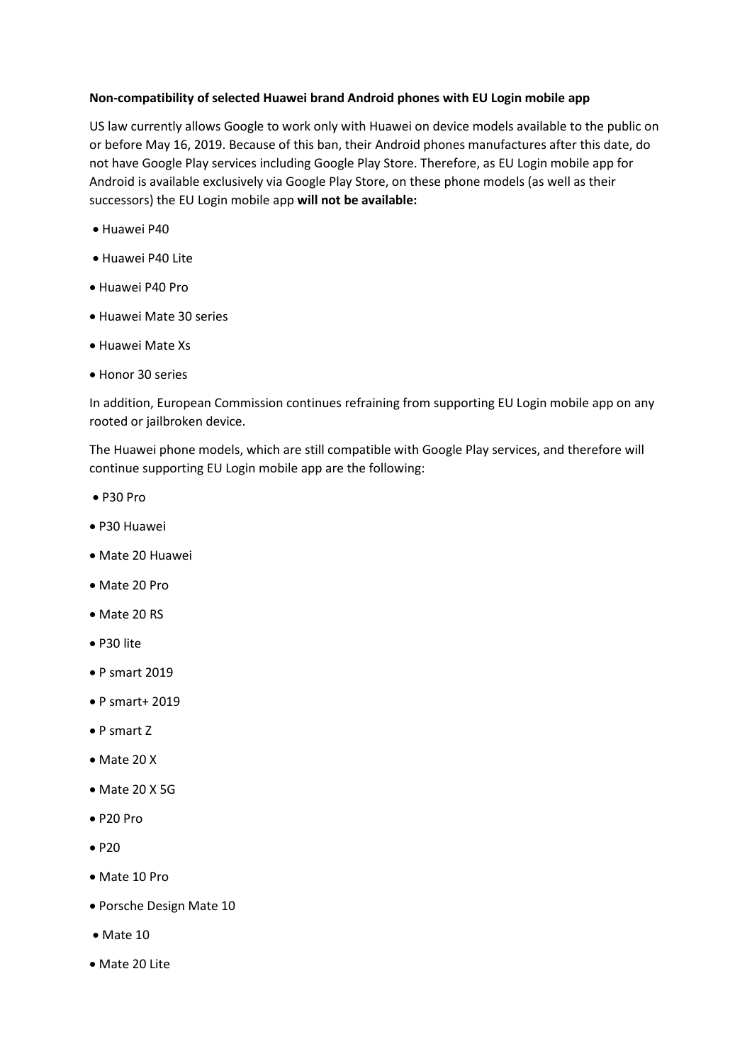## **Non-compatibility of selected Huawei brand Android phones with EU Login mobile app**

US law currently allows Google to work only with Huawei on device models available to the public on or before May 16, 2019. Because of this ban, their Android phones manufactures after this date, do not have Google Play services including Google Play Store. Therefore, as EU Login mobile app for Android is available exclusively via Google Play Store, on these phone models (as well as their successors) the EU Login mobile app **will not be available:**

- Huawei P40
- Huawei P40 Lite
- Huawei P40 Pro
- Huawei Mate 30 series
- Huawei Mate Xs
- Honor 30 series

In addition, European Commission continues refraining from supporting EU Login mobile app on any rooted or jailbroken device.

The Huawei phone models, which are still compatible with Google Play services, and therefore will continue supporting EU Login mobile app are the following:

- P30 Pro
- P30 Huawei
- Mate 20 Huawei
- Mate 20 Pro
- Mate 20 RS
- P30 lite
- P smart 2019
- P smart+ 2019
- P smart Z
- Mate 20 X
- Mate 20 X 5G
- P20 Pro
- P20
- Mate 10 Pro
- Porsche Design Mate 10
- Mate 10
- Mate 20 Lite